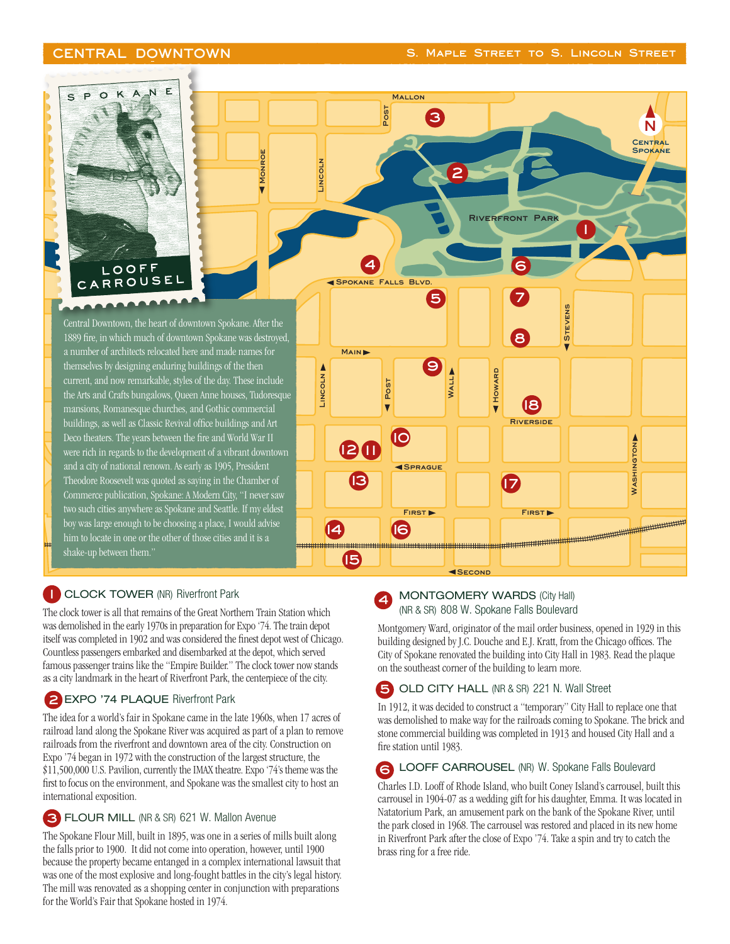#### **Central Downtown S. Maple Street to S. Lincoln Street**



**Post**<br> **Post**<br> **Post 3 N Central Spokane** MONROE **Monroe** LINCOLN **Lincoln 2 Riverfront Park 1 4 6 Spokane Falls Blvd. 7 5 STEVENS Stevens** Central Downtown, the heart of downtown Spokane. After the **8** 1889 fire, in which much of downtown Spokane was destroyed, a number of architects relocated here and made names for **Main 9** TIMCOTN **HOWARD Wall Howard** current, and now remarkable, styles of the day. These include **Lincoln Post** the Arts and Crafts bungalows, Queen Anne houses, Tudoresque **18** mansions, Romanesque churches, and Gothic commercial buildings, as well as Classic Revival office buildings and Art **Riverside 10** Deco theaters. The years between the fire and World War II WASHINGTON **11 12 Washington** were rich in regards to the development of a vibrant downtown and a city of national renown. As early as 1905, President **Sprague** Theodore Roosevelt was quoted as saying in the Chamber of **13 17** Commerce publication, Spokane: A Modern City, "I never saw two such cities anywhere as Spokane and Seattle. If my eldest **First First 16** boy was large enough to be choosing a place, I would advise **14** him to locate in one or the other of those cities and it is a **15 Second**

#### **CLOCK TOWER (NR) Riverfront Park**

shake-up between them.'

themselves by designing enduring buildings of the then

The clock tower is all that remains of the Great Northern Train Station which was demolished in the early 1970s in preparation for Expo '74. The train depot itself was completed in 1902 and was considered the finest depot west of Chicago. Countless passengers embarked and disembarked at the depot, which served famous passenger trains like the "Empire Builder." The clock tower now stands as a city landmark in the heart of Riverfront Park, the centerpiece of the city.

### **2** EXPO '74 PLAQUE Riverfront Park

The idea for a world's fair in Spokane came in the late 1960s, when 17 acres of railroad land along the Spokane River was acquired as part of a plan to remove railroads from the riverfront and downtown area of the city. Construction on Expo '74 began in 1972 with the construction of the largest structure, the \$11,500,000 U.S. Pavilion, currently the IMAX theatre. Expo '74's theme was the first to focus on the environment, and Spokane was the smallest city to host an international exposition.

## **3** FLOUR MILL (NR & SR) 621 W. Mallon Avenue

The Spokane Flour Mill, built in 1895, was one in a series of mills built along the falls prior to 1900. It did not come into operation, however, until 1900 because the property became entanged in a complex international lawsuit that was one of the most explosive and long-fought battles in the city's legal history. The mill was renovated as a shopping center in conjunction with preparations for the World's Fair that Spokane hosted in 1974.

#### **4 MONTGOMERY WARDS (City Hall)** (NR & SR) 808 W. Spokane Falls Boulevard

Montgomery Ward, originator of the mail order business, opened in 1929 in this building designed by J.C. Douche and E.J. Kratt, from the Chicago offices. The City of Spokane renovated the building into City Hall in 1983. Read the plaque on the southeast corner of the building to learn more.

#### **5** OLD CITY HALL (NR & SR) 221 N. Wall Street

In 1912, it was decided to construct a "temporary" City Hall to replace one that was demolished to make way for the railroads coming to Spokane. The brick and stone commercial building was completed in 1913 and housed City Hall and a fire station until 1983.

## **6** LOOFF CARROUSEL (NR) W. Spokane Falls Boulevard

Charles I.D. Looff of Rhode Island, who built Coney Island's carrousel, built this carrousel in 1904-07 as a wedding gift for his daughter, Emma. It was located in Natatorium Park, an amusement park on the bank of the Spokane River, until the park closed in 1968. The carrousel was restored and placed in its new home in Riverfront Park after the close of Expo '74. Take a spin and try to catch the brass ring for a free ride.